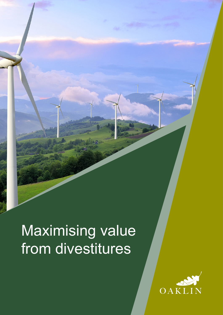# **Maximising value** from divestitures

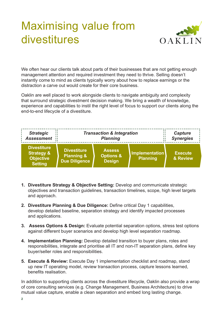### Maximising value from divestitures



We often hear our clients talk about parts of their businesses that are not getting enough management attention and required investment they need to thrive. Selling doesn't instantly come to mind as clients typically worry about how to replace earnings or the distraction a carve out would create for their core business.

Oaklin are well placed to work alongside clients to navigate ambiguity and complexity that surround strategic divestment decision making. We bring a wealth of knowledge, experience and capabilities to instil the right level of focus to support our clients along the end-to-end lifecycle of a divestiture.

| <b>Strategic</b>                                                                  | <b>Transaction &amp; Integration</b>                                |                                                        |                                   | Capture                    |
|-----------------------------------------------------------------------------------|---------------------------------------------------------------------|--------------------------------------------------------|-----------------------------------|----------------------------|
| Assessment                                                                        | <b>Planning</b>                                                     |                                                        |                                   | <b>Synergies</b>           |
| <b>Divestiture</b><br><b>Strategy &amp;</b><br><b>Objective</b><br><b>Setting</b> | <b>Divestiture</b><br><b>Planning &amp;</b><br><b>Due Diligence</b> | <b>Assess</b><br><b>Options &amp;</b><br><b>Design</b> | Implementation<br><b>Planning</b> | <b>Execute</b><br>& Review |

- **1. Divestiture Strategy & Objective Setting:** Develop and communicate strategic objectives and transaction guidelines, transaction timelines, scope, high level targets and approach.
- **2. Divestiture Planning & Due Diligence:** Define critical Day 1 capabilities, develop detailed baseline, separation strategy and identify impacted processes and applications.
- **3. Assess Options & Design:** Evaluate potential separation options, stress test options against different buyer scenarios and develop high level separation roadmap.
- **4. Implementation Planning:** Develop detailed transition to buyer plans, roles and responsibilities, integrate and prioritise all IT and non-IT separation plans, define key buyer/seller roles and responsibilities.
- **5. Execute & Review:** Execute Day 1 implementation checklist and roadmap, stand up new IT operating model, review transaction process, capture lessons learned, benefits realisation.

In addition to supporting clients across the divestiture lifecycle, Oaklin also provide a wrap of core consulting services (e.g. Change Management, Business Architecture) to drive mutual value capture, enable a clean separation and embed long lasting change.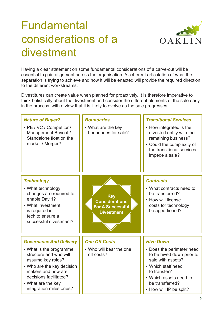### Fundamental considerations of a divestment



Having a clear statement on some fundamental considerations of a carve-out will be essential to gain alignment across the organisation. A coherent articulation of what the separation is trying to achieve and how it will be enacted will provide the required direction to the different workstreams.

Divestitures can create value when planned for proactively. It is therefore imperative to think holistically about the divestment and consider the different elements of the sale early in the process, with a view that it is likely to evolve as the sale progresses.